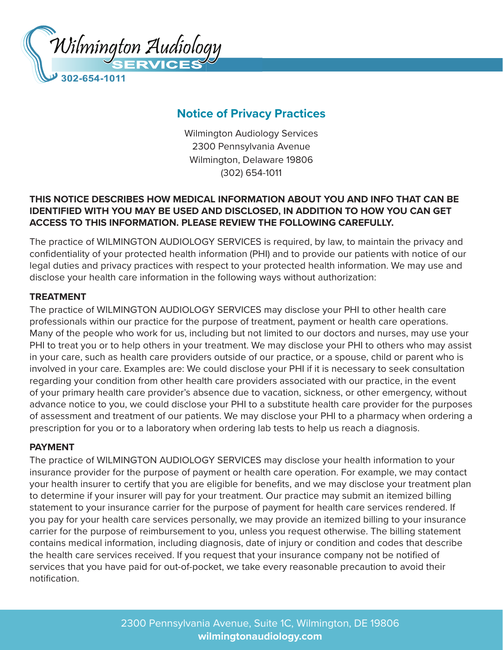

# **Notice of Privacy Practices**

Wilmington Audiology Services 2300 Pennsylvania Avenue Wilmington, Delaware 19806 (302) 654-1011

# **THIS NOTICE DESCRIBES HOW MEDICAL INFORMATION ABOUT YOU AND INFO THAT CAN BE IDENTIFIED WITH YOU MAY BE USED AND DISCLOSED, IN ADDITION TO HOW YOU CAN GET ACCESS TO THIS INFORMATION. PLEASE REVIEW THE FOLLOWING CAREFULLY.**

The practice of WILMINGTON AUDIOLOGY SERVICES is required, by law, to maintain the privacy and confidentiality of your protected health information (PHI) and to provide our patients with notice of our legal duties and privacy practices with respect to your protected health information. We may use and disclose your health care information in the following ways without authorization:

## **TREATMENT**

The practice of WILMINGTON AUDIOLOGY SERVICES may disclose your PHI to other health care professionals within our practice for the purpose of treatment, payment or health care operations. Many of the people who work for us, including but not limited to our doctors and nurses, may use your PHI to treat you or to help others in your treatment. We may disclose your PHI to others who may assist in your care, such as health care providers outside of our practice, or a spouse, child or parent who is involved in your care. Examples are: We could disclose your PHI if it is necessary to seek consultation regarding your condition from other health care providers associated with our practice, in the event of your primary health care provider's absence due to vacation, sickness, or other emergency, without advance notice to you, we could disclose your PHI to a substitute health care provider for the purposes of assessment and treatment of our patients. We may disclose your PHI to a pharmacy when ordering a prescription for you or to a laboratory when ordering lab tests to help us reach a diagnosis.

#### **PAYMENT**

The practice of WILMINGTON AUDIOLOGY SERVICES may disclose your health information to your insurance provider for the purpose of payment or health care operation. For example, we may contact your health insurer to certify that you are eligible for benefits, and we may disclose your treatment plan to determine if your insurer will pay for your treatment. Our practice may submit an itemized billing statement to your insurance carrier for the purpose of payment for health care services rendered. If you pay for your health care services personally, we may provide an itemized billing to your insurance carrier for the purpose of reimbursement to you, unless you request otherwise. The billing statement contains medical information, including diagnosis, date of injury or condition and codes that describe the health care services received. If you request that your insurance company not be notified of services that you have paid for out-of-pocket, we take every reasonable precaution to avoid their notification.